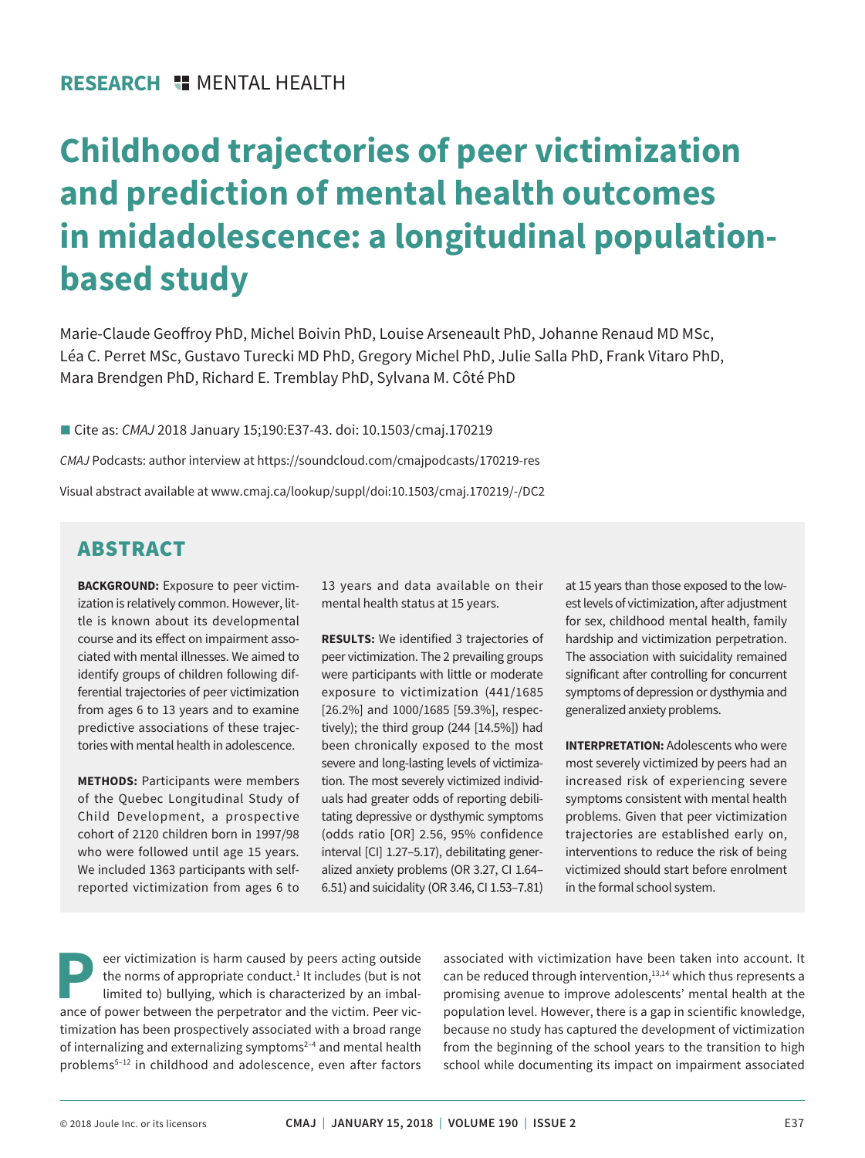# **Childhood trajectories of peer victimization and prediction of mental health outcomes in midadolescence: a longitudinal populationbased study**

Marie-Claude Geoffroy PhD, Michel Boivin PhD, Louise Arseneault PhD, Johanne Renaud MD MSc, Léa C. Perret MSc, Gustavo Turecki MD PhD, Gregory Michel PhD, Julie Salla PhD, Frank Vitaro PhD, Mara Brendgen PhD, Richard E. Tremblay PhD, Sylvana M. Côté PhD

■ Cite as: *CMAJ* 2018 January 15;190:E37-43. doi: 10.1503/cmaj.170219

*CMAJ* Podcasts: author interview at https://soundcloud.com/cmajpodcasts/170219-res

Visual abstract available at www.cmaj.ca/lookup/suppl/doi:10.1503/cmaj.170219/-/DC2

# ABSTRACT

**BACKGROUND:** Exposure to peer victimization is relatively common. However, little is known about its developmental course and its effect on impairment associated with mental illnesses. We aimed to identify groups of children following differential trajectories of peer victimization from ages 6 to 13 years and to examine predictive associations of these trajectories with mental health in adolescence.

**METHODS:** Participants were members of the Quebec Longitudinal Study of Child Development, a prospective cohort of 2120 children born in 1997/98 who were followed until age 15 years. We included 1363 participants with selfreported victimization from ages 6 to

13 years and data available on their mental health status at 15 years.

**RESULTS:** We identified 3 trajectories of peer victimization. The 2 prevailing groups were participants with little or moderate exposure to victimization (441/1685 [26.2%] and 1000/1685 [59.3%], respectively); the third group (244 [14.5%]) had been chronically exposed to the most severe and long-lasting levels of victimization. The most severely victimized individuals had greater odds of reporting debilitating depressive or dysthymic symptoms (odds ratio [OR] 2.56, 95% confidence interval [CI] 1.27–5.17), debilitating generalized anxiety problems (OR 3.27, CI 1.64– 6.51) and suicidality (OR 3.46, CI 1.53–7.81) at 15 years than those exposed to the lowest levels of victimization, after adjustment for sex, childhood mental health, family hardship and victimization perpetration. The association with suicidality remained significant after controlling for concurrent symptoms of depression or dysthymia and generalized anxiety problems.

**INTERPRETATION: Adolescents who were** most severely victimized by peers had an increased risk of experiencing severe symptoms consistent with mental health problems. Given that peer victimization trajectories are established early on, interventions to reduce the risk of being victimized should start before enrolment in the formal school system.

**P**eer victimization is harm caused by peers acting outside the norms of appropriate conduct. $1$  It includes (but is not limited to) bullying, which is characterized by an imbalance of power between the perpetrator and the victim. Peer victimization has been prospectively associated with a broad range of internalizing and externalizing symptoms<sup>2-4</sup> and mental health problems<sup>5-12</sup> in childhood and adolescence, even after factors associated with victimization have been taken into account. It can be reduced through intervention, $13,14$  which thus represents a promising avenue to improve adolescents' mental health at the population level. However, there is a gap in scientific knowledge, because no study has captured the development of victimization from the beginning of the school years to the transition to high school while documenting its impact on impairment associated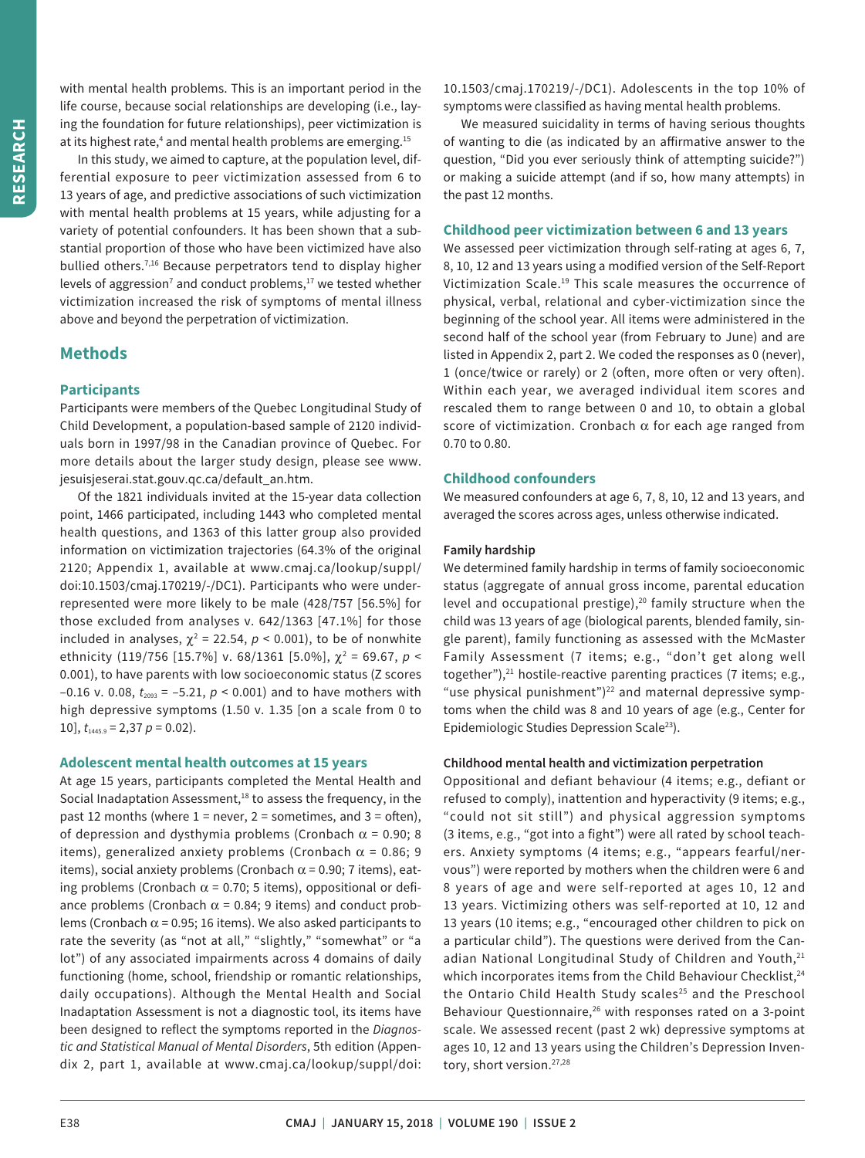with mental health problems. This is an important period in the life course, because social relationships are developing (i.e., laying the foundation for future relationships), peer victimization is at its highest rate,<sup>4</sup> and mental health problems are emerging.<sup>15</sup>

In this study, we aimed to capture, at the population level, differential exposure to peer victimization assessed from 6 to 13 years of age, and predictive associations of such victimization with mental health problems at 15 years, while adjusting for a variety of potential confounders. It has been shown that a substantial proportion of those who have been victimized have also bullied others.<sup>7,16</sup> Because perpetrators tend to display higher levels of aggression<sup>7</sup> and conduct problems, $17$  we tested whether victimization increased the risk of symptoms of mental illness above and beyond the perpetration of victimization.

## **Methods**

#### **Participants**

Participants were members of the Quebec Longitudinal Study of Child Development, a population-based sample of 2120 individuals born in 1997/98 in the Canadian province of Quebec. For more details about the larger study design, please see www. jesuisjeserai.stat.gouv.qc.ca/default\_an.htm.

Of the 1821 individuals invited at the 15-year data collection point, 1466 participated, including 1443 who completed mental health questions, and 1363 of this latter group also provided information on victimization trajectories (64.3% of the original 2120; Appendix 1, available at www.cmaj.ca/lookup/suppl/ doi:10.1503/cmaj.170219/-/DC1). Participants who were underrepresented were more likely to be male (428/757 [56.5%] for those excluded from analyses v. 642/1363 [47.1%] for those included in analyses,  $\chi^2$  = 22.54,  $p$  < 0.001), to be of nonwhite ethnicity (119/756 [15.7%] v. 68/1361 [5.0%], χ<sup>2</sup> = 69.67, *p* < 0.001), to have parents with low socioeconomic status (Z scores  $-0.16$  v. 0.08,  $t_{2093}$  =  $-5.21$ ,  $p < 0.001$ ) and to have mothers with high depressive symptoms (1.50 v. 1.35 [on a scale from 0 to 10],  $t_{1445.9} = 2{,}37 \rho = 0.02$ .

#### **Adolescent mental health outcomes at 15 years**

At age 15 years, participants completed the Mental Health and Social Inadaptation Assessment, $18$  to assess the frequency, in the past 12 months (where  $1 =$  never,  $2 =$  sometimes, and  $3 =$  often), of depression and dysthymia problems (Cronbach  $\alpha$  = 0.90; 8 items), generalized anxiety problems (Cronbach  $\alpha$  = 0.86; 9 items), social anxiety problems (Cronbach  $\alpha$  = 0.90; 7 items), eating problems (Cronbach  $\alpha$  = 0.70; 5 items), oppositional or defiance problems (Cronbach  $\alpha$  = 0.84; 9 items) and conduct problems (Cronbach  $\alpha$  = 0.95; 16 items). We also asked participants to rate the severity (as "not at all," "slightly," "somewhat" or "a lot") of any associated impairments across 4 domains of daily functioning (home, school, friendship or romantic relationships, daily occupations). Although the Mental Health and Social Inadaptation Assessment is not a diagnostic tool, its items have been designed to reflect the symptoms reported in the *Diagnostic and Statistical Manual of Mental Disorders*, 5th edition (Appendix 2, part 1, available at www.cmaj.ca/lookup/suppl/doi: 10.1503/cmaj.170219/-/DC1). Adolescents in the top 10% of symptoms were classified as having mental health problems.

We measured suicidality in terms of having serious thoughts of wanting to die (as indicated by an affirmative answer to the question, "Did you ever seriously think of attempting suicide?") or making a suicide attempt (and if so, how many attempts) in the past 12 months.

#### **Childhood peer victimization between 6 and 13 years**

We assessed peer victimization through self-rating at ages 6, 7, 8, 10, 12 and 13 years using a modified version of the Self-Report Victimization Scale.19 This scale measures the occurrence of physical, verbal, relational and cyber-victimization since the beginning of the school year. All items were administered in the second half of the school year (from February to June) and are listed in Appendix 2, part 2. We coded the responses as 0 (never), 1 (once/twice or rarely) or 2 (often, more often or very often). Within each year, we averaged individual item scores and rescaled them to range between 0 and 10, to obtain a global score of victimization. Cronbach  $\alpha$  for each age ranged from 0.70 to 0.80.

#### **Childhood confounders**

We measured confounders at age 6, 7, 8, 10, 12 and 13 years, and averaged the scores across ages, unless otherwise indicated.

#### **Family hardship**

We determined family hardship in terms of family socioeconomic status (aggregate of annual gross income, parental education level and occupational prestige), $20$  family structure when the child was 13 years of age (biological parents, blended family, single parent), family functioning as assessed with the McMaster Family Assessment (7 items; e.g., "don't get along well together"), $21$  hostile-reactive parenting practices (7 items; e.g., "use physical punishment")<sup>22</sup> and maternal depressive symptoms when the child was 8 and 10 years of age (e.g., Center for Epidemiologic Studies Depression Scale<sup>23</sup>).

#### **Childhood mental health and victimization perpetration**

Oppositional and defiant behaviour (4 items; e.g., defiant or refused to comply), inattention and hyperactivity (9 items; e.g., "could not sit still") and physical aggression symptoms (3 items, e.g., "got into a fight") were all rated by school teachers. Anxiety symptoms (4 items; e.g., "appears fearful/nervous") were reported by mothers when the children were 6 and 8 years of age and were self-reported at ages 10, 12 and 13 years. Victimizing others was self-reported at 10, 12 and 13 years (10 items; e.g., "encouraged other children to pick on a particular child"). The questions were derived from the Canadian National Longitudinal Study of Children and Youth,<sup>21</sup> which incorporates items from the Child Behaviour Checklist,<sup>24</sup> the Ontario Child Health Study scales<sup>25</sup> and the Preschool Behaviour Questionnaire,<sup>26</sup> with responses rated on a 3-point scale. We assessed recent (past 2 wk) depressive symptoms at ages 10, 12 and 13 years using the Children's Depression Inventory, short version.27,28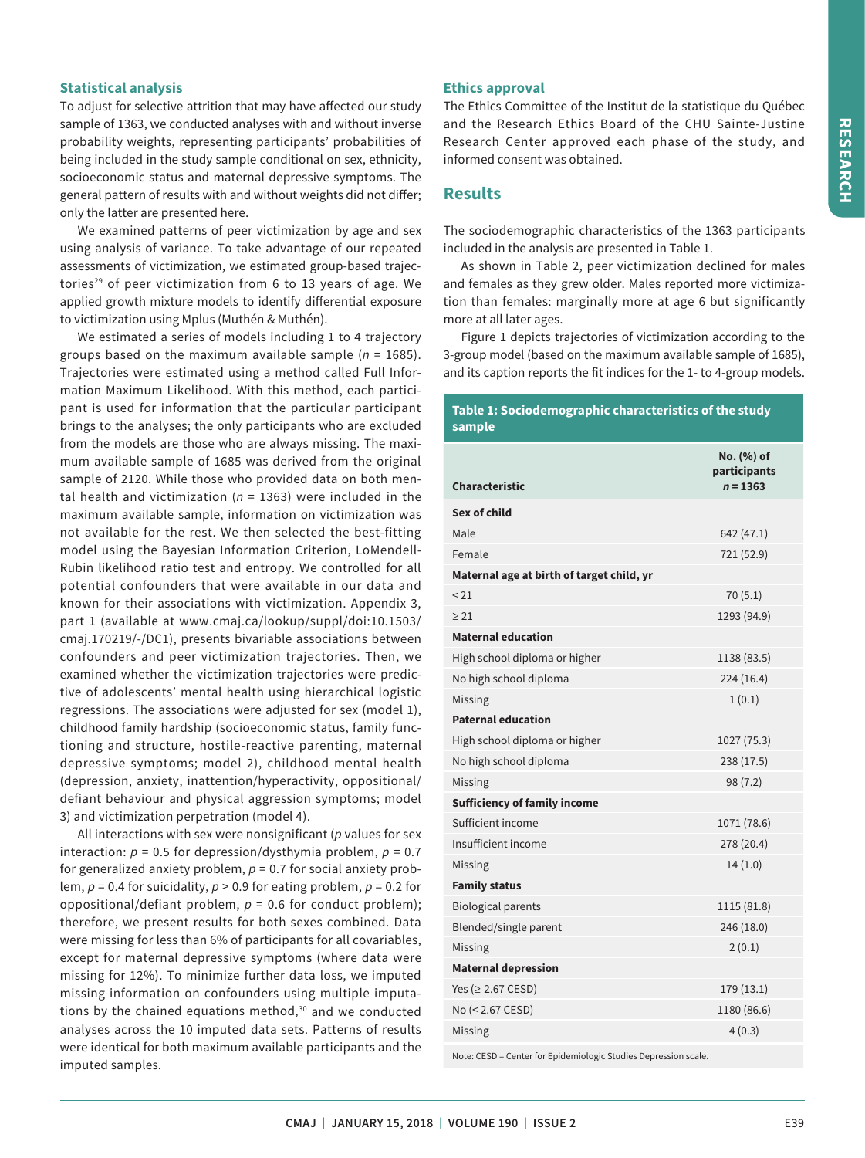## **Statistical analysis**

To adjust for selective attrition that may have affected our study sample of 1363, we conducted analyses with and without inverse probability weights, representing participants' probabilities of being included in the study sample conditional on sex, ethnicity, socioeconomic status and maternal depressive symptoms. The general pattern of results with and without weights did not differ; only the latter are presented here.

We examined patterns of peer victimization by age and sex using analysis of variance. To take advantage of our repeated assessments of victimization, we estimated group-based trajectories<sup>29</sup> of peer victimization from 6 to 13 years of age. We applied growth mixture models to identify differential exposure to victimization using Mplus (Muthén & Muthén).

We estimated a series of models including 1 to 4 trajectory groups based on the maximum available sample (*n* = 1685). Trajectories were estimated using a method called Full Information Maximum Likelihood. With this method, each participant is used for information that the particular participant brings to the analyses; the only participants who are excluded from the models are those who are always missing. The maximum available sample of 1685 was derived from the original sample of 2120. While those who provided data on both mental health and victimization (*n* = 1363) were included in the maximum available sample, information on victimization was not available for the rest. We then selected the best-fitting model using the Bayesian Information Criterion, LoMendell-Rubin likelihood ratio test and entropy. We controlled for all potential confounders that were available in our data and known for their associations with victimization. Appendix 3, part 1 (available at www.cmaj.ca/lookup/suppl/doi:10.1503/ cmaj.170219/-/DC1), presents bivariable associations between confounders and peer victimization trajectories. Then, we examined whether the victimization trajectories were predictive of adolescents' mental health using hierarchical logistic regressions. The associations were adjusted for sex (model 1), childhood family hardship (socioeconomic status, family functioning and structure, hostile-reactive parenting, maternal depressive symptoms; model 2), childhood mental health (depression, anxiety, inattention/hyperactivity, oppositional/ defiant behaviour and physical aggression symptoms; model 3) and victimization perpetration (model 4).

All interactions with sex were nonsignificant (*p* values for sex interaction: *p* = 0.5 for depression/dysthymia problem, *p* = 0.7 for generalized anxiety problem,  $p = 0.7$  for social anxiety problem, *p* = 0.4 for suicidality, *p* > 0.9 for eating problem, *p* = 0.2 for oppositional/defiant problem, *p* = 0.6 for conduct problem); therefore, we present results for both sexes combined. Data were missing for less than 6% of participants for all covariables, except for maternal depressive symptoms (where data were missing for 12%). To minimize further data loss, we imputed missing information on confounders using multiple imputations by the chained equations method, $30$  and we conducted analyses across the 10 imputed data sets. Patterns of results were identical for both maximum available participants and the imputed samples.

## **Ethics approval**

The Ethics Committee of the Institut de la statistique du Québec and the Research Ethics Board of the CHU Sainte-Justine Research Center approved each phase of the study, and informed consent was obtained.

# **Results**

The sociodemographic characteristics of the 1363 participants included in the analysis are presented in Table 1.

As shown in Table 2, peer victimization declined for males and females as they grew older. Males reported more victimization than females: marginally more at age 6 but significantly more at all later ages.

Figure 1 depicts trajectories of victimization according to the 3-group model (based on the maximum available sample of 1685), and its caption reports the fit indices for the 1- to 4-group models.

#### **Table 1: Sociodemographic characteristics of the study sample**

| <b>Characteristic</b>                                                           | No. (%) of<br>participants<br>$n = 1363$ |
|---------------------------------------------------------------------------------|------------------------------------------|
| Sex of child                                                                    |                                          |
| Male                                                                            | 642 (47.1)                               |
| Female                                                                          | 721 (52.9)                               |
| Maternal age at birth of target child, yr                                       |                                          |
| < 21                                                                            | 70(5.1)                                  |
| > 21                                                                            | 1293 (94.9)                              |
| <b>Maternal education</b>                                                       |                                          |
| High school diploma or higher                                                   | 1138 (83.5)                              |
| No high school diploma                                                          | 224(16.4)                                |
| Missing                                                                         | 1(0.1)                                   |
| <b>Paternal education</b>                                                       |                                          |
| High school diploma or higher                                                   | 1027 (75.3)                              |
| No high school diploma                                                          | 238(17.5)                                |
| Missing                                                                         | 98 (7.2)                                 |
| <b>Sufficiency of family income</b>                                             |                                          |
| Sufficient income                                                               | 1071 (78.6)                              |
| Insufficient income                                                             | 278 (20.4)                               |
| Missing                                                                         | 14(1.0)                                  |
| <b>Family status</b>                                                            |                                          |
| <b>Biological parents</b>                                                       | 1115 (81.8)                              |
| Blended/single parent                                                           | 246 (18.0)                               |
| Missing                                                                         | 2(0.1)                                   |
| <b>Maternal depression</b>                                                      |                                          |
| Yes ( $\geq$ 2.67 CESD)                                                         | 179(13.1)                                |
| No (< 2.67 CESD)                                                                | 1180 (86.6)                              |
| Missing                                                                         | 4(0.3)                                   |
| $\sigma$ and $\sigma$ is $\sigma$ in the set of $\sigma$ is the set of $\sigma$ |                                          |

Note: CESD = Center for Epidemiologic Studies Depression scale.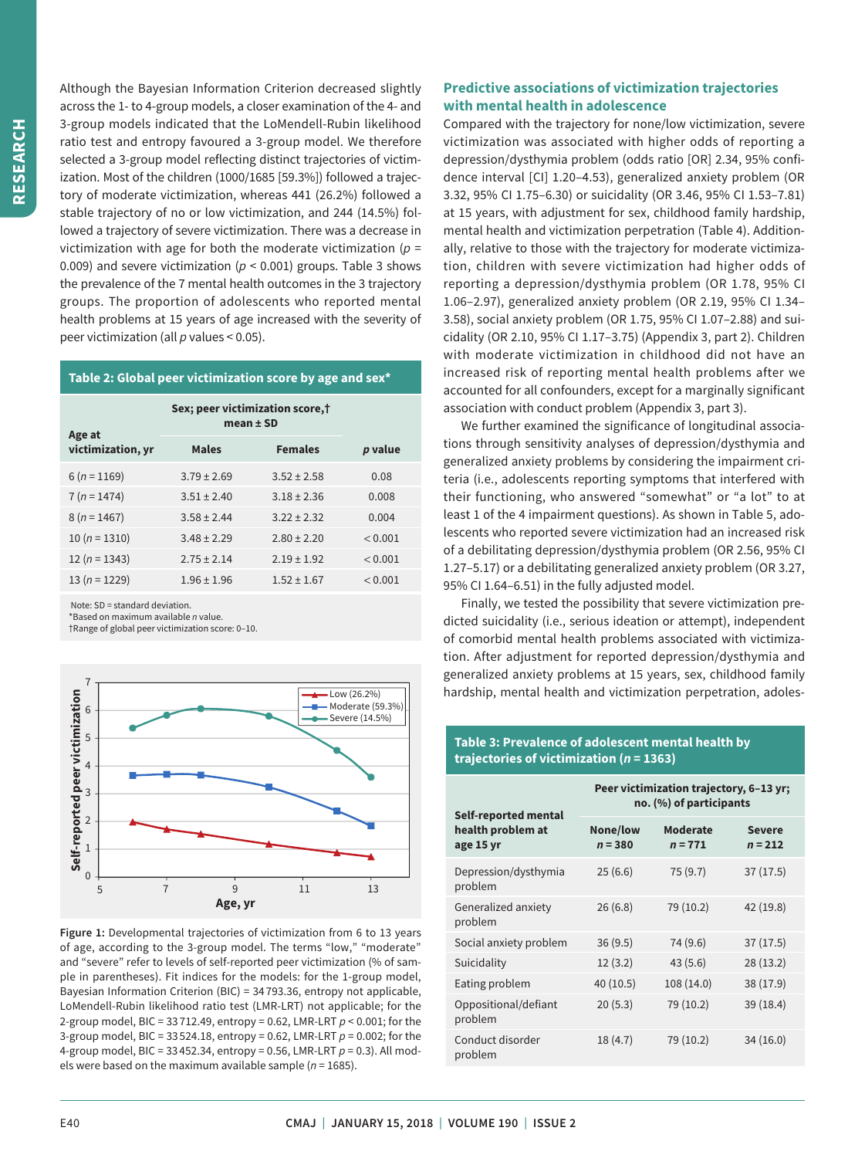Although the Bayesian Information Criterion decreased slightly across the 1- to 4-group models, a closer examination of the 4- and 3-group models indicated that the LoMendell-Rubin likelihood ratio test and entropy favoured a 3-group model. We therefore selected a 3-group model reflecting distinct trajectories of victimization. Most of the children (1000/1685 [59.3%]) followed a trajectory of moderate victimization, whereas 441 (26.2%) followed a stable trajectory of no or low victimization, and 244 (14.5%) followed a trajectory of severe victimization. There was a decrease in victimization with age for both the moderate victimization ( $p =$ 0.009) and severe victimization ( $p < 0.001$ ) groups. Table 3 shows the prevalence of the 7 mental health outcomes in the 3 trajectory groups. The proportion of adolescents who reported mental health problems at 15 years of age increased with the severity of peer victimization (all *p* values < 0.05).

#### **Table 2: Global peer victimization score by age and sex\***

| Age at            | Sex; peer victimization score,†<br>mean $\pm$ SD |                 |         |
|-------------------|--------------------------------------------------|-----------------|---------|
| victimization, yr | <b>Males</b>                                     | <b>Females</b>  | p value |
| $6(n=1169)$       | $3.79 \pm 2.69$                                  | $3.52 \pm 2.58$ | 0.08    |
| $7 (n = 1474)$    | $3.51 \pm 2.40$                                  | $3.18 \pm 2.36$ | 0.008   |
| $8(n=1467)$       | $3.58 \pm 2.44$                                  | $3.22 \pm 2.32$ | 0.004   |
| 10 ( $n = 1310$ ) | $3.48 \pm 2.29$                                  | $2.80 \pm 2.20$ | < 0.001 |
| 12 ( $n = 1343$ ) | $2.75 \pm 2.14$                                  | $2.19 \pm 1.92$ | < 0.001 |
| $13(n = 1229)$    | $1.96 \pm 1.96$                                  | $1.52 \pm 1.67$ | < 0.001 |

Note: SD = standard deviation.

\*Based on maximum available *n* value.

†Range of global peer victimization score: 0–10.



**Figure 1:** Developmental trajectories of victimization from 6 to 13 years of age, according to the 3-group model. The terms "low," "moderate" and "severe" refer to levels of self-reported peer victimization (% of sample in parentheses). Fit indices for the models: for the 1-group model, Bayesian Information Criterion (BIC) = 34 793.36, entropy not applicable, LoMendell-Rubin likelihood ratio test (LMR-LRT) not applicable; for the 2-group model, BIC = 33 712.49, entropy = 0.62, LMR-LRT *p* < 0.001; for the 3-group model, BIC = 33 524.18, entropy = 0.62, LMR-LRT *p* = 0.002; for the 4-group model, BIC = 33 452.34, entropy = 0.56, LMR-LRT *p* = 0.3). All models were based on the maximum available sample (*n* = 1685).

# **Predictive associations of victimization trajectories with mental health in adolescence**

Compared with the trajectory for none/low victimization, severe victimization was associated with higher odds of reporting a depression/dysthymia problem (odds ratio [OR] 2.34, 95% confidence interval [CI] 1.20–4.53), generalized anxiety problem (OR 3.32, 95% CI 1.75–6.30) or suicidality (OR 3.46, 95% CI 1.53–7.81) at 15 years, with adjustment for sex, childhood family hardship, mental health and victimization perpetration (Table 4). Additionally, relative to those with the trajectory for moderate victimization, children with severe victimization had higher odds of reporting a depression/dysthymia problem (OR 1.78, 95% CI 1.06–2.97), generalized anxiety problem (OR 2.19, 95% CI 1.34– 3.58), social anxiety problem (OR 1.75, 95% CI 1.07–2.88) and suicidality (OR 2.10, 95% CI 1.17–3.75) (Appendix 3, part 2). Children with moderate victimization in childhood did not have an increased risk of reporting mental health problems after we accounted for all confounders, except for a marginally significant association with conduct problem (Appendix 3, part 3).

We further examined the significance of longitudinal associations through sensitivity analyses of depression/dysthymia and generalized anxiety problems by considering the impairment criteria (i.e., adolescents reporting symptoms that interfered with their functioning, who answered "somewhat" or "a lot" to at least 1 of the 4 impairment questions). As shown in Table 5, adolescents who reported severe victimization had an increased risk of a debilitating depression/dysthymia problem (OR 2.56, 95% CI 1.27–5.17) or a debilitating generalized anxiety problem (OR 3.27, 95% CI 1.64–6.51) in the fully adjusted model.

Finally, we tested the possibility that severe victimization predicted suicidality (i.e., serious ideation or attempt), independent of comorbid mental health problems associated with victimization. After adjustment for reported depression/dysthymia and generalized anxiety problems at 15 years, sex, childhood family hardship, mental health and victimization perpetration, adoles-

## **Table 3: Prevalence of adolescent mental health by trajectories of victimization (***n* **= 1363)**

| Self-reported mental            | Peer victimization trajectory, 6-13 yr;<br>no. (%) of participants |                              |                            |  |
|---------------------------------|--------------------------------------------------------------------|------------------------------|----------------------------|--|
| health problem at<br>age 15 yr  | None/low<br>$n = 380$                                              | <b>Moderate</b><br>$n = 771$ | <b>Severe</b><br>$n = 212$ |  |
| Depression/dysthymia<br>problem | 25(6.6)                                                            | 75(9.7)                      | 37(17.5)                   |  |
| Generalized anxiety<br>problem  | 26(6.8)                                                            | 79 (10.2)                    | 42 (19.8)                  |  |
| Social anxiety problem          | 36(9.5)                                                            | 74 (9.6)                     | 37(17.5)                   |  |
| Suicidality                     | 12(3.2)                                                            | 43(5.6)                      | 28(13.2)                   |  |
| Eating problem                  | 40 (10.5)                                                          | 108 (14.0)                   | 38 (17.9)                  |  |
| Oppositional/defiant<br>problem | 20(5.3)                                                            | 79 (10.2)                    | 39(18.4)                   |  |
| Conduct disorder<br>problem     | 18(4.7)                                                            | 79 (10.2)                    | 34(16.0)                   |  |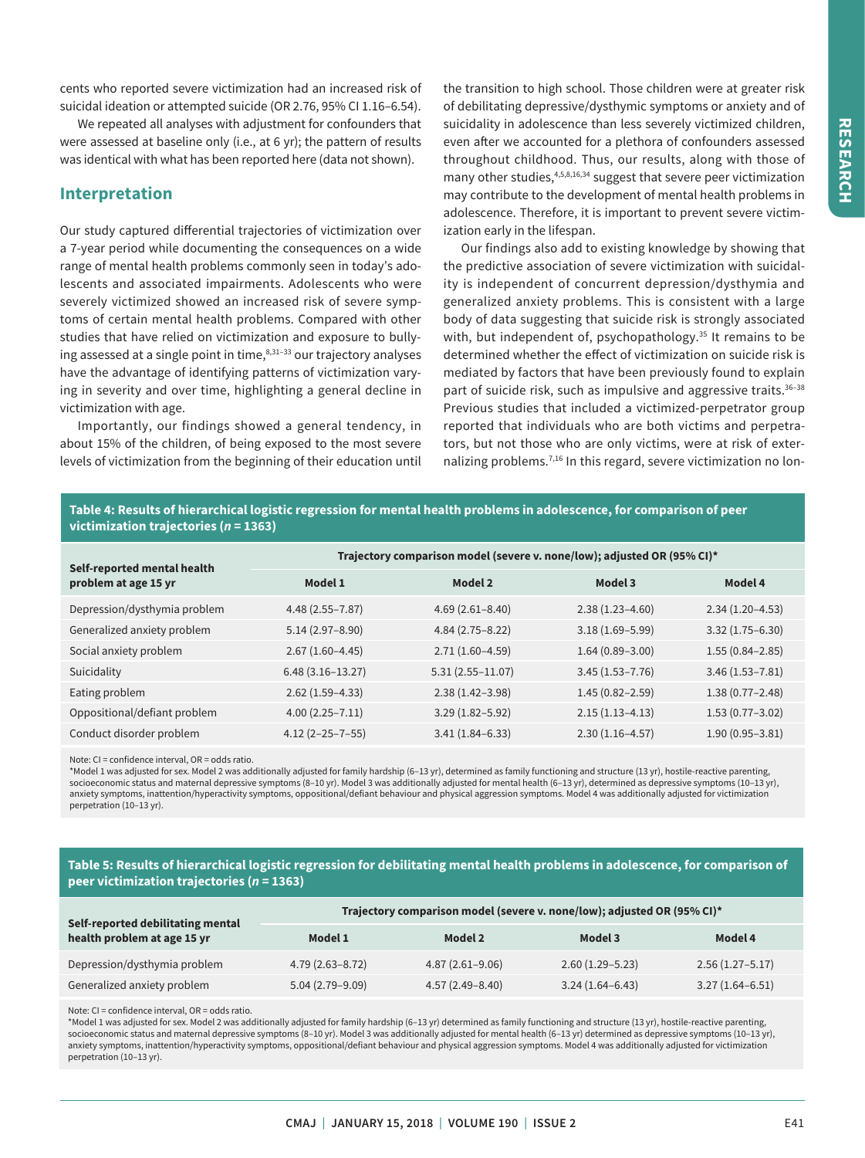**RESEARCH RESEARCH**

cents who reported severe victimization had an increased risk of suicidal ideation or attempted suicide (OR 2.76, 95% CI 1.16–6.54).

We repeated all analyses with adjustment for confounders that were assessed at baseline only (i.e., at 6 yr); the pattern of results was identical with what has been reported here (data not shown).

## **Interpretation**

Our study captured differential trajectories of victimization over a 7-year period while documenting the consequences on a wide range of mental health problems commonly seen in today's adolescents and associated impairments. Adolescents who were severely victimized showed an increased risk of severe symptoms of certain mental health problems. Compared with other studies that have relied on victimization and exposure to bullying assessed at a single point in time, $8,31-33$  our trajectory analyses have the advantage of identifying patterns of victimization varying in severity and over time, highlighting a general decline in victimization with age.

Importantly, our findings showed a general tendency, in about 15% of the children, of being exposed to the most severe levels of victimization from the beginning of their education until the transition to high school. Those children were at greater risk of debilitating depressive/dysthymic symptoms or anxiety and of suicidality in adolescence than less severely victimized children, even after we accounted for a plethora of confounders assessed throughout childhood. Thus, our results, along with those of many other studies,<sup>4,5,8,16,34</sup> suggest that severe peer victimization may contribute to the development of mental health problems in adolescence. Therefore, it is important to prevent severe victimization early in the lifespan.

Our findings also add to existing knowledge by showing that the predictive association of severe victimization with suicidality is independent of concurrent depression/dysthymia and generalized anxiety problems. This is consistent with a large body of data suggesting that suicide risk is strongly associated with, but independent of, psychopathology.<sup>35</sup> It remains to be determined whether the effect of victimization on suicide risk is mediated by factors that have been previously found to explain part of suicide risk, such as impulsive and aggressive traits.<sup>36-38</sup> Previous studies that included a victimized-perpetrator group reported that individuals who are both victims and perpetrators, but not those who are only victims, were at risk of externalizing problems.<sup>7,16</sup> In this regard, severe victimization no lon-

#### **Table 4: Results of hierarchical logistic regression for mental health problems in adolescence, for comparison of peer victimization trajectories (***n* **= 1363)**

| Self-reported mental health  | Trajectory comparison model (severe v. none/low); adjusted OR (95% CI)* |                      |                     |                     |
|------------------------------|-------------------------------------------------------------------------|----------------------|---------------------|---------------------|
| problem at age 15 yr         | Model 1                                                                 | Model 2              | Model 3             | Model 4             |
| Depression/dysthymia problem | $4.48(2.55 - 7.87)$                                                     | $4.69(2.61 - 8.40)$  | $2.38(1.23 - 4.60)$ | $2.34(1.20-4.53)$   |
| Generalized anxiety problem  | $5.14(2.97 - 8.90)$                                                     | $4.84(2.75-8.22)$    | $3.18(1.69 - 5.99)$ | $3.32(1.75 - 6.30)$ |
| Social anxiety problem       | $2.67(1.60-4.45)$                                                       | $2.71(1.60-4.59)$    | $1.64(0.89 - 3.00)$ | $1.55(0.84 - 2.85)$ |
| Suicidality                  | $6.48(3.16 - 13.27)$                                                    | $5.31(2.55 - 11.07)$ | $3.45(1.53 - 7.76)$ | $3.46(1.53 - 7.81)$ |
| Eating problem               | $2.62(1.59-4.33)$                                                       | $2.38(1.42 - 3.98)$  | $1.45(0.82 - 2.59)$ | $1.38(0.77 - 2.48)$ |
| Oppositional/defiant problem | $4.00(2.25 - 7.11)$                                                     | $3.29(1.82 - 5.92)$  | $2.15(1.13-4.13)$   | $1.53(0.77 - 3.02)$ |
| Conduct disorder problem     | $4.12(2 - 25 - 7 - 55)$                                                 | $3.41(1.84 - 6.33)$  | $2.30(1.16-4.57)$   | $1.90(0.95 - 3.81)$ |

Note: CI = confidence interval, OR = odds ratio.

\*Model 1 was adjusted for sex. Model 2 was additionally adjusted for family hardship (6–13 yr), determined as family functioning and structure (13 yr), hostile-reactive parenting, socioeconomic status and maternal depressive symptoms (8-10 yr). Model 3 was additionally adjusted for mental health (6-13 yr), determined as depressive symptoms (10-13 yr), anxiety symptoms, inattention/hyperactivity symptoms, oppositional/defiant behaviour and physical aggression symptoms. Model 4 was additionally adjusted for victimization perpetration (10–13 yr).

### **Table 5: Results of hierarchical logistic regression for debilitating mental health problems in adolescence, for comparison of peer victimization trajectories (***n* **= 1363)**

| Self-reported debilitating mental<br>health problem at age 15 yr | Trajectory comparison model (severe v. none/low); adjusted OR (95% CI)* |                     |                     |                     |
|------------------------------------------------------------------|-------------------------------------------------------------------------|---------------------|---------------------|---------------------|
|                                                                  | Model 1                                                                 | Model 2             | Model 3             | Model 4             |
| Depression/dysthymia problem                                     | $4.79(2.63 - 8.72)$                                                     | $4.87(2.61 - 9.06)$ | $2.60(1.29 - 5.23)$ | $2.56(1.27 - 5.17)$ |
| Generalized anxiety problem                                      | $5.04(2.79-9.09)$                                                       | $4.57(2.49 - 8.40)$ | $3.24(1.64 - 6.43)$ | $3.27(1.64 - 6.51)$ |

Note: CI = confidence interval, OR = odds ratio.

\*Model 1 was adjusted for sex. Model 2 was additionally adjusted for family hardship (6–13 yr) determined as family functioning and structure (13 yr), hostile-reactive parenting, socioeconomic status and maternal depressive symptoms (8–10 yr). Model 3 was additionally adjusted for mental health (6–13 yr) determined as depressive symptoms (10–13 yr), anxiety symptoms, inattention/hyperactivity symptoms, oppositional/defiant behaviour and physical aggression symptoms. Model 4 was additionally adjusted for victimization perpetration (10–13 yr).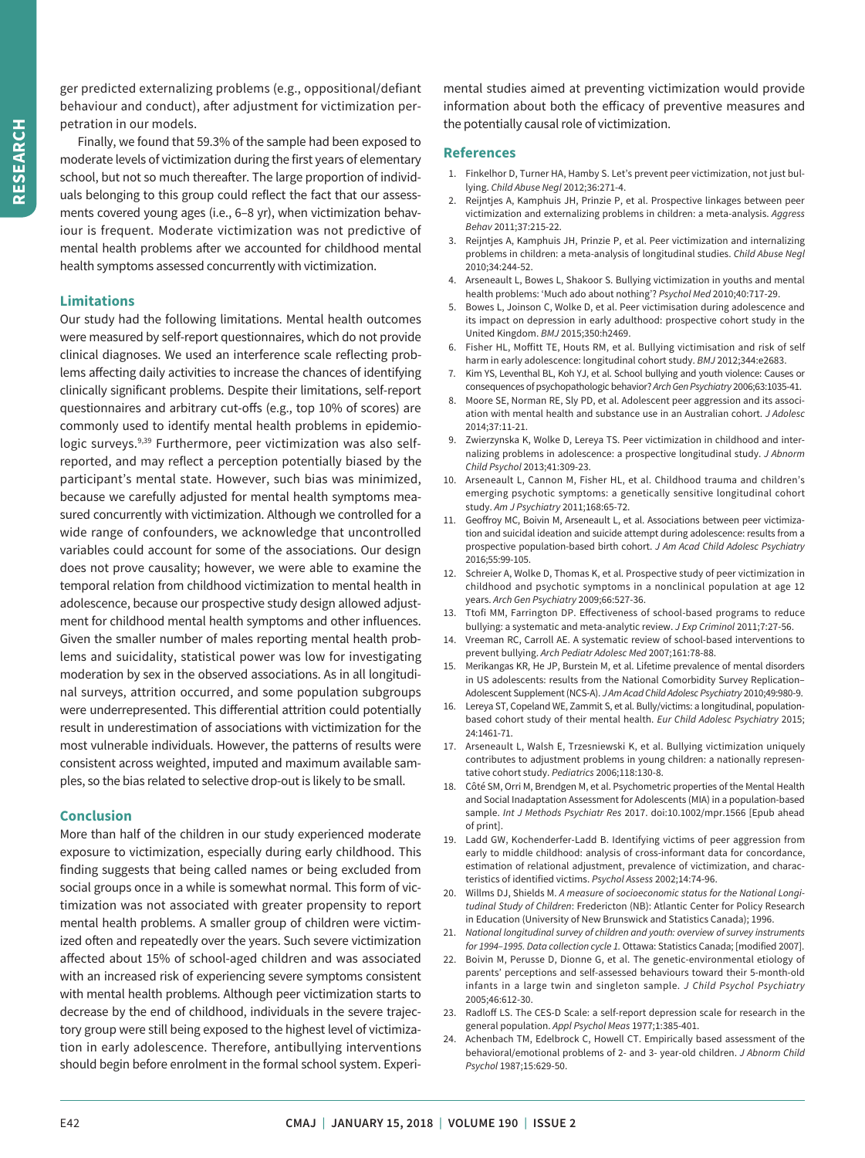ger predicted externalizing problems (e.g., oppositional/defiant behaviour and conduct), after adjustment for victimization perpetration in our models.

Finally, we found that 59.3% of the sample had been exposed to moderate levels of victimization during the first years of elementary school, but not so much thereafter. The large proportion of individuals belonging to this group could reflect the fact that our assessments covered young ages (i.e., 6–8 yr), when victimization behaviour is frequent. Moderate victimization was not predictive of mental health problems after we accounted for childhood mental health symptoms assessed concurrently with victimization.

#### **Limitations**

Our study had the following limitations. Mental health outcomes were measured by self-report questionnaires, which do not provide clinical diagnoses. We used an interference scale reflecting problems affecting daily activities to increase the chances of identifying clinically significant problems. Despite their limitations, self-report questionnaires and arbitrary cut-offs (e.g., top 10% of scores) are commonly used to identify mental health problems in epidemiologic surveys.<sup>9,39</sup> Furthermore, peer victimization was also selfreported, and may reflect a perception potentially biased by the participant's mental state. However, such bias was minimized, because we carefully adjusted for mental health symptoms measured concurrently with victimization. Although we controlled for a wide range of confounders, we acknowledge that uncontrolled variables could account for some of the associations. Our design does not prove causality; however, we were able to examine the temporal relation from childhood victimization to mental health in adolescence, because our prospective study design allowed adjustment for childhood mental health symptoms and other influences. Given the smaller number of males reporting mental health problems and suicidality, statistical power was low for investigating moderation by sex in the observed associations. As in all longitudinal surveys, attrition occurred, and some population subgroups were underrepresented. This differential attrition could potentially result in underestimation of associations with victimization for the most vulnerable individuals. However, the patterns of results were consistent across weighted, imputed and maximum available samples, so the bias related to selective drop-out is likely to be small.

### **Conclusion**

More than half of the children in our study experienced moderate exposure to victimization, especially during early childhood. This finding suggests that being called names or being excluded from social groups once in a while is somewhat normal. This form of victimization was not associated with greater propensity to report mental health problems. A smaller group of children were victimized often and repeatedly over the years. Such severe victimization affected about 15% of school-aged children and was associated with an increased risk of experiencing severe symptoms consistent with mental health problems. Although peer victimization starts to decrease by the end of childhood, individuals in the severe trajectory group were still being exposed to the highest level of victimization in early adolescence. Therefore, antibullying interventions should begin before enrolment in the formal school system. Experimental studies aimed at preventing victimization would provide information about both the efficacy of preventive measures and the potentially causal role of victimization.

#### **References**

- 1. Finkelhor D, Turner HA, Hamby S. Let's prevent peer victimization, not just bullying. *Child Abuse Negl* 2012;36:271-4.
- 2. Reijntjes A, Kamphuis JH, Prinzie P, et al. Prospective linkages between peer victimization and externalizing problems in children: a meta-analysis. *Aggress Behav* 2011;37:215-22.
- 3. Reijntjes A, Kamphuis JH, Prinzie P, et al. Peer victimization and internalizing problems in children: a meta-analysis of longitudinal studies. *Child Abuse Negl* 2010;34:244-52.
- 4. Arseneault L, Bowes L, Shakoor S. Bullying victimization in youths and mental health problems: 'Much ado about nothing'? *Psychol Med* 2010;40:717-29.
- 5. Bowes L, Joinson C, Wolke D, et al. Peer victimisation during adolescence and its impact on depression in early adulthood: prospective cohort study in the United Kingdom. *BMJ* 2015;350:h2469.
- Fisher HL, Moffitt TE, Houts RM, et al. Bullying victimisation and risk of self harm in early adolescence: longitudinal cohort study. *BMJ* 2012;344:e2683.
- Kim YS, Leventhal BL, Koh YJ, et al. School bullying and youth violence: Causes or consequences of psychopathologic behavior? *Arch Gen Psychiatry* 2006;63:1035-41.
- 8. Moore SE, Norman RE, Sly PD, et al. Adolescent peer aggression and its association with mental health and substance use in an Australian cohort. *J Adolesc* 2014;37:11-21.
- 9. Zwierzynska K, Wolke D, Lereya TS. Peer victimization in childhood and internalizing problems in adolescence: a prospective longitudinal study. *J Abnorm Child Psychol* 2013;41:309-23.
- 10. Arseneault L, Cannon M, Fisher HL, et al. Childhood trauma and children's emerging psychotic symptoms: a genetically sensitive longitudinal cohort study. *Am J Psychiatry* 2011;168:65-72.
- 11. Geoffroy MC, Boivin M, Arseneault L, et al. Associations between peer victimization and suicidal ideation and suicide attempt during adolescence: results from a prospective population-based birth cohort. *J Am Acad Child Adolesc Psychiatry* 2016;55:99-105.
- 12. Schreier A, Wolke D, Thomas K, et al. Prospective study of peer victimization in childhood and psychotic symptoms in a nonclinical population at age 12 years. *Arch Gen Psychiatry* 2009;66:527-36.
- 13. Ttofi MM, Farrington DP. Effectiveness of school-based programs to reduce bullying: a systematic and meta-analytic review. *J Exp Criminol* 2011;7:27-56.
- 14. Vreeman RC, Carroll AE. A systematic review of school-based interventions to prevent bullying. *Arch Pediatr Adolesc Med* 2007;161:78-88.
- 15. Merikangas KR, He JP, Burstein M, et al. Lifetime prevalence of mental disorders in US adolescents: results from the National Comorbidity Survey Replication– Adolescent Supplement (NCS-A). *J Am Acad Child Adolesc Psychiatry* 2010;49:980-9.
- 16. Lereya ST, Copeland WE, Zammit S, et al. Bully/victims: a longitudinal, populationbased cohort study of their mental health. *Eur Child Adolesc Psychiatry* 2015; 24:1461-71.
- 17. Arseneault L, Walsh E, Trzesniewski K, et al. Bullying victimization uniquely contributes to adjustment problems in young children: a nationally representative cohort study. *Pediatrics* 2006;118:130-8.
- 18. Côté SM, Orri M, Brendgen M, et al. Psychometric properties of the Mental Health and Social Inadaptation Assessment for Adolescents (MIA) in a population-based sample. *Int J Methods Psychiatr Res* 2017. doi:10.1002/mpr.1566 [Epub ahead of print].
- 19. Ladd GW, Kochenderfer-Ladd B. Identifying victims of peer aggression from early to middle childhood: analysis of cross-informant data for concordance, estimation of relational adjustment, prevalence of victimization, and characteristics of identified victims. *Psychol Assess* 2002;14:74-96.
- 20. Willms DJ, Shields M. *A measure of socioeconomic status for the National Longitudinal Study of Children*: Fredericton (NB): Atlantic Center for Policy Research in Education (University of New Brunswick and Statistics Canada); 1996.
- 21. *National longitudinal survey of children and youth: overview of survey instruments for 1994–1995. Data collection cycle 1.* Ottawa: Statistics Canada; [modified 2007].
- 22. Boivin M, Perusse D, Dionne G, et al. The genetic-environmental etiology of parents' perceptions and self-assessed behaviours toward their 5-month-old infants in a large twin and singleton sample. *J Child Psychol Psychiatry* 2005;46:612-30.
- 23. Radloff LS. The CES-D Scale: a self-report depression scale for research in the general population. *Appl Psychol Meas* 1977;1:385-401.
- 24. Achenbach TM, Edelbrock C, Howell CT. Empirically based assessment of the behavioral/emotional problems of 2- and 3- year-old children. *J Abnorm Child Psychol* 1987;15:629-50.